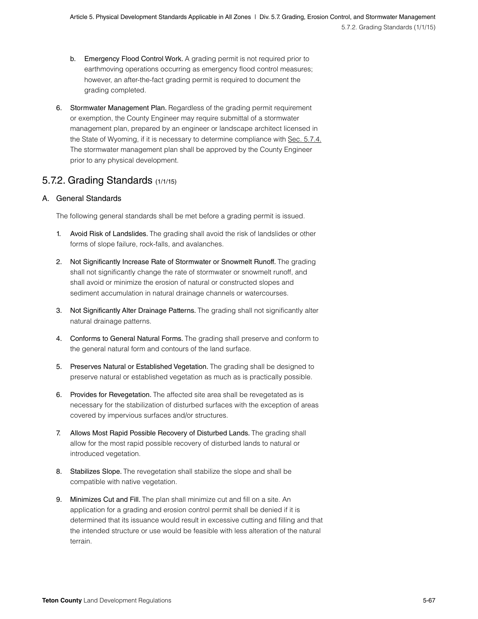- b. Emergency Flood Control Work. A grading permit is not required prior to earthmoving operations occurring as emergency flood control measures; however, an after-the-fact grading permit is required to document the grading completed.
- 6. Stormwater Management Plan. Regardless of the grading permit requirement or exemption, the County Engineer may require submittal of a stormwater management plan, prepared by an engineer or landscape architect licensed in the State of Wyoming, if it is necessary to determine compliance with [Sec. 5.7.4.](#page--1-0) The stormwater management plan shall be approved by the County Engineer prior to any physical development.

# 5.7.2. Grading Standards (1/1/15)

### A. General Standards

The following general standards shall be met before a grading permit is issued.

- 1. Avoid Risk of Landslides. The grading shall avoid the risk of landslides or other forms of slope failure, rock-falls, and avalanches.
- 2. Not Significantly Increase Rate of Stormwater or Snowmelt Runoff. The grading shall not significantly change the rate of stormwater or snowmelt runoff, and shall avoid or minimize the erosion of natural or constructed slopes and sediment accumulation in natural drainage channels or watercourses.
- 3. Not Significantly Alter Drainage Patterns. The grading shall not significantly alter natural drainage patterns.
- 4. Conforms to General Natural Forms. The grading shall preserve and conform to the general natural form and contours of the land surface.
- 5. Preserves Natural or Established Vegetation. The grading shall be designed to preserve natural or established vegetation as much as is practically possible.
- 6. Provides for Revegetation. The affected site area shall be revegetated as is necessary for the stabilization of disturbed surfaces with the exception of areas covered by impervious surfaces and/or structures.
- 7. Allows Most Rapid Possible Recovery of Disturbed Lands. The grading shall allow for the most rapid possible recovery of disturbed lands to natural or introduced vegetation.
- 8. Stabilizes Slope. The revegetation shall stabilize the slope and shall be compatible with native vegetation.
- 9. Minimizes Cut and Fill. The plan shall minimize cut and fill on a site. An application for a grading and erosion control permit shall be denied if it is determined that its issuance would result in excessive cutting and filling and that the intended structure or use would be feasible with less alteration of the natural terrain.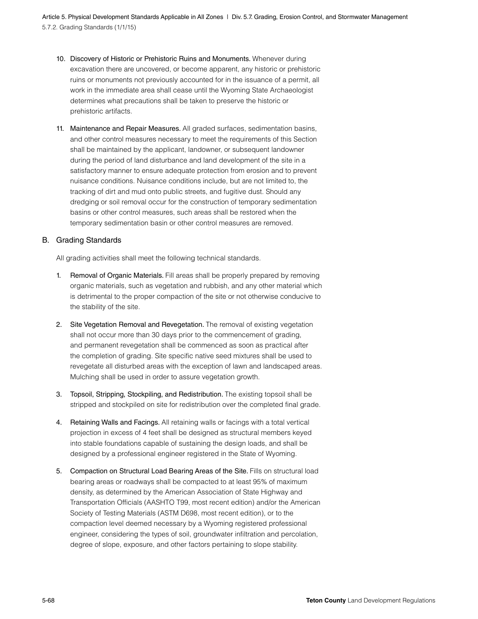5.7.2. Grading Standards (1/1/15) Article 5. Physical Development Standards Applicable in All Zones | Div. 5.7. Grading, Erosion Control, and Stormwater Management

- 10. Discovery of Historic or Prehistoric Ruins and Monuments. Whenever during excavation there are uncovered, or become apparent, any historic or prehistoric ruins or monuments not previously accounted for in the issuance of a permit, all work in the immediate area shall cease until the Wyoming State Archaeologist determines what precautions shall be taken to preserve the historic or prehistoric artifacts.
- 11. Maintenance and Repair Measures. All graded surfaces, sedimentation basins, and other control measures necessary to meet the requirements of this Section shall be maintained by the applicant, landowner, or subsequent landowner during the period of land disturbance and land development of the site in a satisfactory manner to ensure adequate protection from erosion and to prevent nuisance conditions. Nuisance conditions include, but are not limited to, the tracking of dirt and mud onto public streets, and fugitive dust. Should any dredging or soil removal occur for the construction of temporary sedimentation basins or other control measures, such areas shall be restored when the temporary sedimentation basin or other control measures are removed.

#### B. Grading Standards

All grading activities shall meet the following technical standards.

- 1. Removal of Organic Materials. Fill areas shall be properly prepared by removing organic materials, such as vegetation and rubbish, and any other material which is detrimental to the proper compaction of the site or not otherwise conducive to the stability of the site.
- 2. Site Vegetation Removal and Revegetation. The removal of existing vegetation shall not occur more than 30 days prior to the commencement of grading, and permanent revegetation shall be commenced as soon as practical after the completion of grading. Site specific native seed mixtures shall be used to revegetate all disturbed areas with the exception of lawn and landscaped areas. Mulching shall be used in order to assure vegetation growth.
- 3. Topsoil, Stripping, Stockpiling, and Redistribution. The existing topsoil shall be stripped and stockpiled on site for redistribution over the completed final grade.
- 4. Retaining Walls and Facings. All retaining walls or facings with a total vertical projection in excess of 4 feet shall be designed as structural members keyed into stable foundations capable of sustaining the design loads, and shall be designed by a professional engineer registered in the State of Wyoming.
- 5. Compaction on Structural Load Bearing Areas of the Site. Fills on structural load bearing areas or roadways shall be compacted to at least 95% of maximum density, as determined by the American Association of State Highway and Transportation Officials (AASHTO T99, most recent edition) and/or the American Society of Testing Materials (ASTM D698, most recent edition), or to the compaction level deemed necessary by a Wyoming registered professional engineer, considering the types of soil, groundwater infiltration and percolation, degree of slope, exposure, and other factors pertaining to slope stability.